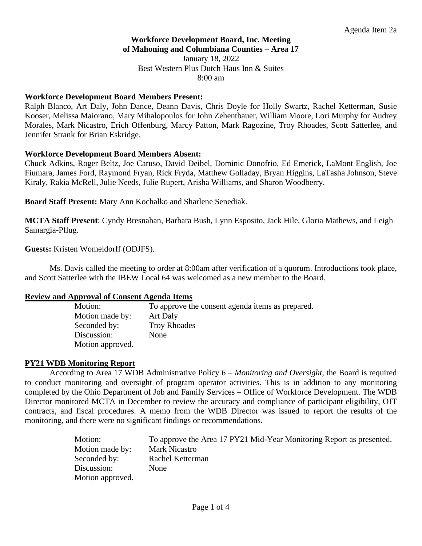# **Workforce Development Board, Inc. Meeting of Mahoning and Columbiana Counties – Area 17**

January 18, 2022 Best Western Plus Dutch Haus Inn & Suites 8:00 am

## **Workforce Development Board Members Present:**

Ralph Blanco, Art Daly, John Dance, Deann Davis, Chris Doyle for Holly Swartz, Rachel Ketterman, Susie Kooser, Melissa Maiorano, Mary Mihalopoulos for John Zehentbauer, William Moore, Lori Murphy for Audrey Morales, Mark Nicastro, Erich Offenburg, Marcy Patton, Mark Ragozine, Troy Rhoades, Scott Satterlee, and Jennifer Strank for Brian Eskridge.

### **Workforce Development Board Members Absent:**

Chuck Adkins, Roger Beltz, Joe Caruso, David Deibel, Dominic Donofrio, Ed Emerick, LaMont English, Joe Fiumara, James Ford, Raymond Fryan, Rick Fryda, Matthew Golladay, Bryan Higgins, LaTasha Johnson, Steve Kiraly, Rakia McRell, Julie Needs, Julie Rupert, Arisha Williams, and Sharon Woodberry.

**Board Staff Present:** Mary Ann Kochalko and Sharlene Senediak.

**MCTA Staff Present**: Cyndy Bresnahan, Barbara Bush, Lynn Esposito, Jack Hile, Gloria Mathews, and Leigh Samargia-Pflug.

**Guests:** Kristen Womeldorff (ODJFS).

Ms. Davis called the meeting to order at 8:00am after verification of a quorum. Introductions took place, and Scott Satterlee with the IBEW Local 64 was welcomed as a new member to the Board.

# **Review and Approval of Consent Agenda Items**

| Motion:          | To approve the consent agenda items as prepared. |
|------------------|--------------------------------------------------|
| Motion made by:  | Art Daly                                         |
| Seconded by:     | <b>Troy Rhoades</b>                              |
| Discussion:      | None                                             |
| Motion approved. |                                                  |

# **PY21 WDB Monitoring Report**

According to Area 17 WDB Administrative Policy 6 *– Monitoring and Oversight*, the Board is required to conduct monitoring and oversight of program operator activities. This is in addition to any monitoring completed by the Ohio Department of Job and Family Services – Office of Workforce Development. The WDB Director monitored MCTA in December to review the accuracy and compliance of participant eligibility, OJT contracts, and fiscal procedures. A memo from the WDB Director was issued to report the results of the monitoring, and there were no significant findings or recommendations.

| Motion:          | To approve the Area 17 PY21 Mid-Year Monitoring Report as presented. |
|------------------|----------------------------------------------------------------------|
| Motion made by:  | <b>Mark Nicastro</b>                                                 |
| Seconded by:     | Rachel Ketterman                                                     |
| Discussion:      | None                                                                 |
| Motion approved. |                                                                      |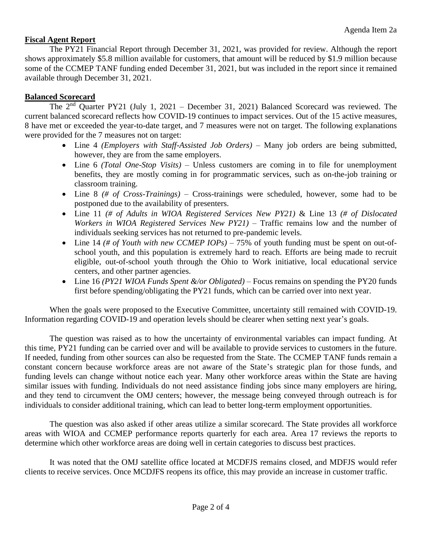# **Fiscal Agent Report**

The PY21 Financial Report through December 31, 2021, was provided for review. Although the report shows approximately \$5.8 million available for customers, that amount will be reduced by \$1.9 million because some of the CCMEP TANF funding ended December 31, 2021, but was included in the report since it remained available through December 31, 2021.

# **Balanced Scorecard**

The  $2<sup>nd</sup>$  Quarter PY21 (July 1, 2021 – December 31, 2021) Balanced Scorecard was reviewed. The current balanced scorecard reflects how COVID-19 continues to impact services. Out of the 15 active measures, 8 have met or exceeded the year-to-date target, and 7 measures were not on target. The following explanations were provided for the 7 measures not on target:

- Line 4 *(Employers with Staff-Assisted Job Orders)* Many job orders are being submitted, however, they are from the same employers.
- Line 6 *(Total One-Stop Visits)* Unless customers are coming in to file for unemployment benefits, they are mostly coming in for programmatic services, such as on-the-job training or classroom training.
- Line 8 *(# of Cross-Trainings)* Cross-trainings were scheduled, however, some had to be postponed due to the availability of presenters.
- Line 11 *(# of Adults in WIOA Registered Services New PY21)* & Line 13 *(# of Dislocated Workers in WIOA Registered Services New PY21)* – Traffic remains low and the number of individuals seeking services has not returned to pre-pandemic levels.
- Line 14 *(# of Youth with new CCMEP IOPs)* 75% of youth funding must be spent on out-ofschool youth, and this population is extremely hard to reach. Efforts are being made to recruit eligible, out-of-school youth through the Ohio to Work initiative, local educational service centers, and other partner agencies.
- Line 16 *(PY21 WIOA Funds Spent &/or Obligated)* Focus remains on spending the PY20 funds first before spending/obligating the PY21 funds, which can be carried over into next year.

When the goals were proposed to the Executive Committee, uncertainty still remained with COVID-19. Information regarding COVID-19 and operation levels should be clearer when setting next year's goals.

The question was raised as to how the uncertainty of environmental variables can impact funding. At this time, PY21 funding can be carried over and will be available to provide services to customers in the future. If needed, funding from other sources can also be requested from the State. The CCMEP TANF funds remain a constant concern because workforce areas are not aware of the State's strategic plan for those funds, and funding levels can change without notice each year. Many other workforce areas within the State are having similar issues with funding. Individuals do not need assistance finding jobs since many employers are hiring, and they tend to circumvent the OMJ centers; however, the message being conveyed through outreach is for individuals to consider additional training, which can lead to better long-term employment opportunities.

The question was also asked if other areas utilize a similar scorecard. The State provides all workforce areas with WIOA and CCMEP performance reports quarterly for each area. Area 17 reviews the reports to determine which other workforce areas are doing well in certain categories to discuss best practices.

It was noted that the OMJ satellite office located at MCDFJS remains closed, and MDFJS would refer clients to receive services. Once MCDJFS reopens its office, this may provide an increase in customer traffic.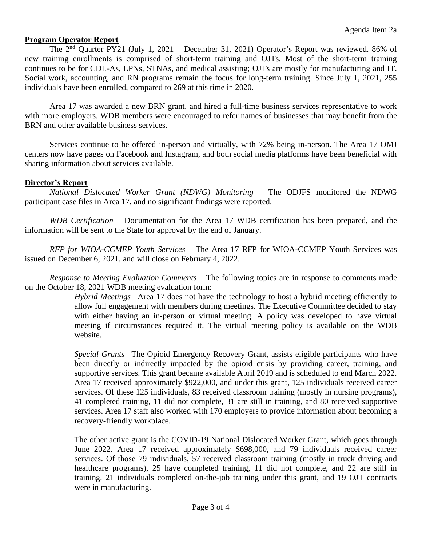## **Program Operator Report**

The  $2<sup>nd</sup>$  Quarter PY21 (July 1, 2021 – December 31, 2021) Operator's Report was reviewed. 86% of new training enrollments is comprised of short-term training and OJTs. Most of the short-term training continues to be for CDL-As, LPNs, STNAs, and medical assisting; OJTs are mostly for manufacturing and IT. Social work, accounting, and RN programs remain the focus for long-term training. Since July 1, 2021, 255 individuals have been enrolled, compared to 269 at this time in 2020.

Area 17 was awarded a new BRN grant, and hired a full-time business services representative to work with more employers. WDB members were encouraged to refer names of businesses that may benefit from the BRN and other available business services.

Services continue to be offered in-person and virtually, with 72% being in-person. The Area 17 OMJ centers now have pages on Facebook and Instagram, and both social media platforms have been beneficial with sharing information about services available.

#### **Director's Report**

*National Dislocated Worker Grant (NDWG) Monitoring* – The ODJFS monitored the NDWG participant case files in Area 17, and no significant findings were reported.

*WDB Certification* – Documentation for the Area 17 WDB certification has been prepared, and the information will be sent to the State for approval by the end of January.

*RFP for WIOA-CCMEP Youth Services* – The Area 17 RFP for WIOA-CCMEP Youth Services was issued on December 6, 2021, and will close on February 4, 2022.

*Response to Meeting Evaluation Comments –* The following topics are in response to comments made on the October 18, 2021 WDB meeting evaluation form:

> *Hybrid Meetings* –Area 17 does not have the technology to host a hybrid meeting efficiently to allow full engagement with members during meetings. The Executive Committee decided to stay with either having an in-person or virtual meeting. A policy was developed to have virtual meeting if circumstances required it. The virtual meeting policy is available on the WDB website.

> *Special Grants* –The Opioid Emergency Recovery Grant, assists eligible participants who have been directly or indirectly impacted by the opioid crisis by providing career, training, and supportive services. This grant became available April 2019 and is scheduled to end March 2022. Area 17 received approximately \$922,000, and under this grant, 125 individuals received career services. Of these 125 individuals, 83 received classroom training (mostly in nursing programs), 41 completed training, 11 did not complete, 31 are still in training, and 80 received supportive services. Area 17 staff also worked with 170 employers to provide information about becoming a recovery-friendly workplace.

> The other active grant is the COVID-19 National Dislocated Worker Grant, which goes through June 2022. Area 17 received approximately \$698,000, and 79 individuals received career services. Of those 79 individuals, 57 received classroom training (mostly in truck driving and healthcare programs), 25 have completed training, 11 did not complete, and 22 are still in training. 21 individuals completed on-the-job training under this grant, and 19 OJT contracts were in manufacturing.